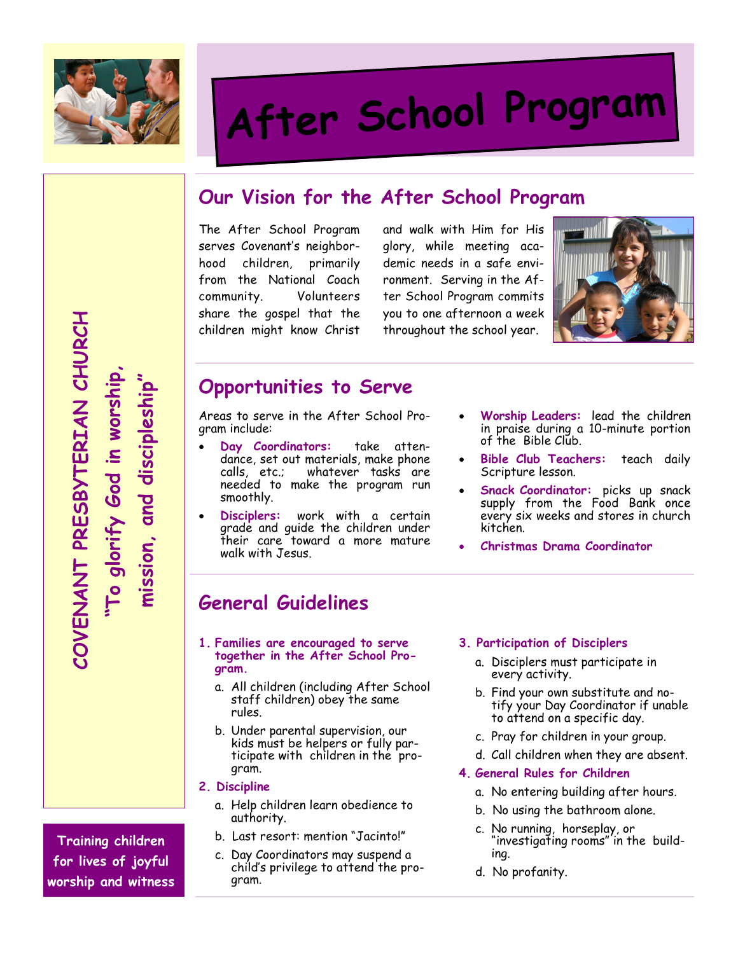

# After School Program

# Our Vision for the After School Program

The After School Program serves Covenant's neighborhood children, primarily from the National Coach community. Volunteers share the gospel that the children might know Christ

and walk with Him for His glory, while meeting academic needs in a safe environment. Serving in the After School Program commits you to one afternoon a week throughout the school year.



### Opportunities to Serve

Areas to serve in the After School Program include:

- Day Coordinators: take attendance, set out materials, make phone calls, etc.; whatever tasks are needed to make the program run smoothly.
- Disciplers: work with a certain grade and guide the children under their care toward a more mature walk with Jesus.
- Worship Leaders: lead the children in praise during a 10-minute portion of the Bible Club.
- Bible Club Teachers: teach daily Scripture lesson.
- Snack Coordinator: picks up snack supply from the Food Bank once every six weeks and stores in church kitchen.
- Christmas Drama Coordinator

## General Guidelines

- 1. Families are encouraged to serve together in the After School Program.
	- a. All children (including After School staff children) obey the same rules.
	- b. Under parental supervision, our kids must be helpers or fully participate with children in the program.
- 2. Discipline
	- a. Help children learn obedience to authority.
	- b. Last resort: mention "Jacinto!"
	- c. Day Coordinators may suspend a child's privilege to attend the program.

#### 3. Participation of Disciplers

- a. Disciplers must participate in every activity.
- b. Find your own substitute and notify your Day Coordinator if unable to attend on a specific day.
- c. Pray for children in your group.
- d. Call children when they are absent.
- 4. General Rules for Children
	- a. No entering building after hours.
	- b. No using the bathroom alone.
	- c. No running, horseplay, or "investigating rooms" in the building.
	- d. No profanity.

COVENANT PRESBYTERIAN CHURCH COVENANT PRESBYTERIAN CHURCH "To glorify God in worship, mission, and discipleship" "To glorify God in worship, mission, and discipleship'

Training children for lives of joyful worship and witness